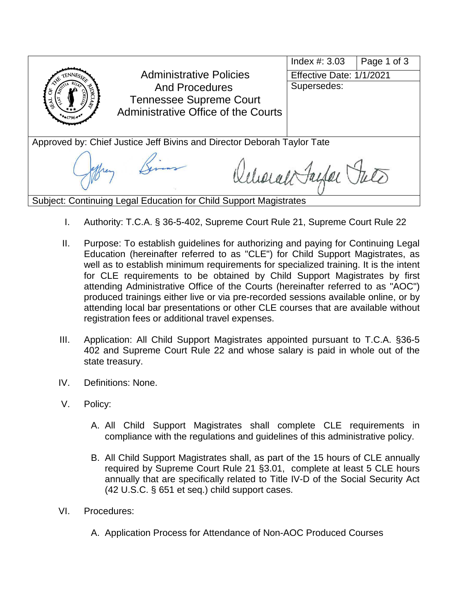

- I. Authority: T.C.A. § 36-5-402, Supreme Court Rule 21, Supreme Court Rule 22
- II. Purpose: To establish guidelines for authorizing and paying for Continuing Legal Education (hereinafter referred to as "CLE") for Child Support Magistrates, as well as to establish minimum requirements for specialized training. It is the intent for CLE requirements to be obtained by Child Support Magistrates by first attending Administrative Office of the Courts (hereinafter referred to as "AOC") produced trainings either live or via pre-recorded sessions available online, or by attending local bar presentations or other CLE courses that are available without registration fees or additional travel expenses.
- III. Application: All Child Support Magistrates appointed pursuant to T.C.A. §36-5 402 and Supreme Court Rule 22 and whose salary is paid in whole out of the state treasury.
- IV. Definitions: None.
- V. Policy:
	- A. All Child Support Magistrates shall complete CLE requirements in compliance with the regulations and guidelines of this administrative policy.
	- B. All Child Support Magistrates shall, as part of the 15 hours of CLE annually required by Supreme Court Rule 21 §3.01, complete at least 5 CLE hours annually that are specifically related to Title IV-D of the Social Security Act [\(42 U.S.C. § 651 et seq.](https://1.next.westlaw.com/Link/Document/FullText?findType=L&pubNum=1000546&cite=42USCAS651&originatingDoc=N156938404F5111E48739DFE149CC3A3D&refType=LQ&originationContext=document&transitionType=DocumentItem&contextData=(sc.Document))) child support cases.
- VI. Procedures:
	- A. Application Process for Attendance of Non-AOC Produced Courses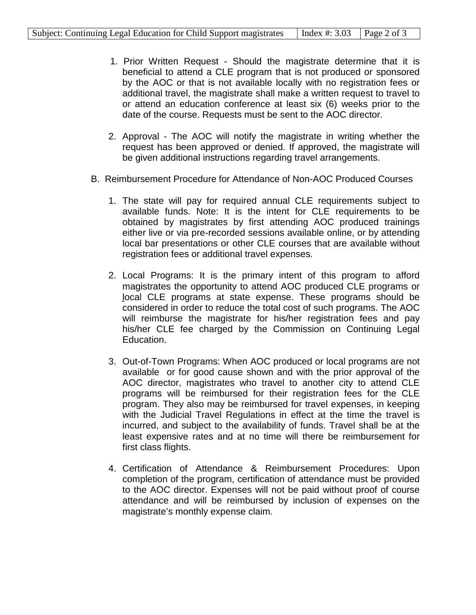- 1. Prior Written Request Should the magistrate determine that it is beneficial to attend a CLE program that is not produced or sponsored by the AOC or that is not available locally with no registration fees or additional travel, the magistrate shall make a written request to travel to or attend an education conference at least six (6) weeks prior to the date of the course. Requests must be sent to the AOC director.
- 2. Approval The AOC will notify the magistrate in writing whether the request has been approved or denied. If approved, the magistrate will be given additional instructions regarding travel arrangements.
- B. Reimbursement Procedure for Attendance of Non-AOC Produced Courses
	- 1. The state will pay for required annual CLE requirements subject to available funds. Note: It is the intent for CLE requirements to be obtained by magistrates by first attending AOC produced trainings either live or via pre-recorded sessions available online, or by attending local bar presentations or other CLE courses that are available without registration fees or additional travel expenses.
	- 2. Local Programs: It is the primary intent of this program to afford magistrates the opportunity to attend AOC produced CLE programs or local CLE programs at state expense. These programs should be considered in order to reduce the total cost of such programs. The AOC will reimburse the magistrate for his/her registration fees and pay his/her CLE fee charged by the Commission on Continuing Legal Education.
	- 3. Out-of-Town Programs: When AOC produced or local programs are not available or for good cause shown and with the prior approval of the AOC director, magistrates who travel to another city to attend CLE programs will be reimbursed for their registration fees for the CLE program. They also may be reimbursed for travel expenses, in keeping with the Judicial Travel Regulations in effect at the time the travel is incurred, and subject to the availability of funds. Travel shall be at the least expensive rates and at no time will there be reimbursement for first class flights.
	- 4. Certification of Attendance & Reimbursement Procedures: Upon completion of the program, certification of attendance must be provided to the AOC director. Expenses will not be paid without proof of course attendance and will be reimbursed by inclusion of expenses on the magistrate's monthly expense claim.